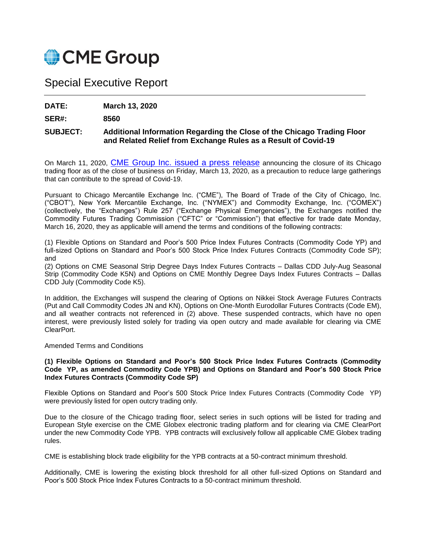

# Special Executive Report

**DATE: March 13, 2020**

**SER#: 8560**

## **SUBJECT: Additional Information Regarding the Close of the Chicago Trading Floor and Related Relief from Exchange Rules as a Result of Covid-19**

On March 11, 2020, [CME Group Inc. issued a press release](http://investor.cmegroup.com/news-releases/news-release-details/cme-group-close-chicago-trading-floor-precaution) announcing the closure of its Chicago trading floor as of the close of business on Friday, March 13, 2020, as a precaution to reduce large gatherings that can contribute to the spread of Covid-19.

Pursuant to Chicago Mercantile Exchange Inc. ("CME"), The Board of Trade of the City of Chicago, Inc. ("CBOT"), New York Mercantile Exchange, Inc. ("NYMEX") and Commodity Exchange, Inc. ("COMEX") (collectively, the "Exchanges") Rule 257 ("Exchange Physical Emergencies"), the Exchanges notified the Commodity Futures Trading Commission ("CFTC" or "Commission") that effective for trade date Monday, March 16, 2020, they as applicable will amend the terms and conditions of the following contracts:

(1) Flexible Options on Standard and Poor's 500 Price Index Futures Contracts (Commodity Code YP) and full-sized Options on Standard and Poor's 500 Stock Price Index Futures Contracts (Commodity Code SP); and

(2) Options on CME Seasonal Strip Degree Days Index Futures Contracts – Dallas CDD July-Aug Seasonal Strip (Commodity Code K5N) and Options on CME Monthly Degree Days Index Futures Contracts – Dallas CDD July (Commodity Code K5).

In addition, the Exchanges will suspend the clearing of Options on Nikkei Stock Average Futures Contracts (Put and Call Commodity Codes JN and KN), Options on One-Month Eurodollar Futures Contracts (Code EM), and all weather contracts not referenced in (2) above. These suspended contracts, which have no open interest, were previously listed solely for trading via open outcry and made available for clearing via CME ClearPort.

### Amended Terms and Conditions

### **(1) Flexible Options on Standard and Poor's 500 Stock Price Index Futures Contracts (Commodity Code YP, as amended Commodity Code YPB) and Options on Standard and Poor's 500 Stock Price Index Futures Contracts (Commodity Code SP)**

Flexible Options on Standard and Poor's 500 Stock Price Index Futures Contracts (Commodity Code YP) were previously listed for open outcry trading only.

Due to the closure of the Chicago trading floor, select series in such options will be listed for trading and European Style exercise on the CME Globex electronic trading platform and for clearing via CME ClearPort under the new Commodity Code YPB. YPB contracts will exclusively follow all applicable CME Globex trading rules.

CME is establishing block trade eligibility for the YPB contracts at a 50-contract minimum threshold.

Additionally, CME is lowering the existing block threshold for all other full-sized Options on Standard and Poor's 500 Stock Price Index Futures Contracts to a 50-contract minimum threshold.